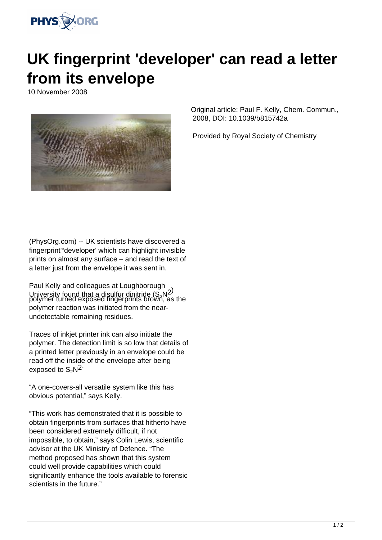

## **UK fingerprint 'developer' can read a letter from its envelope**

10 November 2008



(PhysOrg.com) -- UK scientists have discovered a fingerprint'"developer' which can highlight invisible prints on almost any surface – and read the text of a letter just from the envelope it was sent in.

Paul Kelly and colleagues at Loughborough University found that a disultur dinitride  $(S_2N_2)$ polymer turned exposed fingerprints brown, as the polymer reaction was initiated from the nearundetectable remaining residues.

Traces of inkjet printer ink can also initiate the polymer. The detection limit is so low that details of a printed letter previously in an envelope could be read off the inside of the envelope after being exposed to  $S_2N^2$ 

"A one-covers-all versatile system like this has obvious potential," says Kelly.

"This work has demonstrated that it is possible to obtain fingerprints from surfaces that hitherto have been considered extremely difficult, if not impossible, to obtain," says Colin Lewis, scientific advisor at the UK Ministry of Defence. "The method proposed has shown that this system could well provide capabilities which could significantly enhance the tools available to forensic scientists in the future."

Original article: Paul F. Kelly, Chem. Commun., 2008, DOI: 10.1039/b815742a

Provided by Royal Society of Chemistry